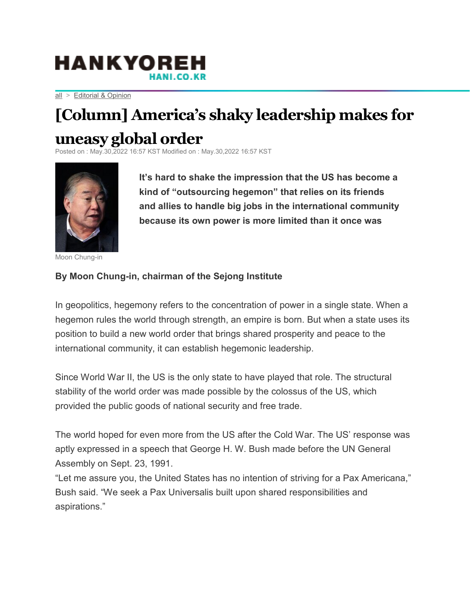## **HANKYOR**

[all](https://english.hani.co.kr/arti/english_edition/list.html) > [Editorial & Opinion](https://english.hani.co.kr/arti/english_edition/english_editorials/home01.html)

## **[Column] America's shaky leadership makes for**

## **uneasy global order**

KST Modified on : May.30,2022 16:57 KST



Moon Chung-in

**It's hard to shake the impression that the US has become a kind of "outsourcing hegemon" that relies on its friends and allies to handle big jobs in the international community because its own power is more limited than it once was**

## **By Moon Chung-in, chairman of the Sejong Institute**

In geopolitics, hegemony refers to the concentration of power in a single state. When a hegemon rules the world through strength, an empire is born. But when a state uses its position to build a new world order that brings shared prosperity and peace to the international community, it can establish hegemonic leadership.

Since World War II, the US is the only state to have played that role. The structural stability of the world order was made possible by the colossus of the US, which provided the public goods of national security and free trade.

The world hoped for even more from the US after the Cold War. The US' response was aptly expressed in a speech that George H. W. Bush made before the UN General Assembly on Sept. 23, 1991.

"Let me assure you, the United States has no intention of striving for a Pax Americana," Bush said. "We seek a Pax Universalis built upon shared responsibilities and aspirations."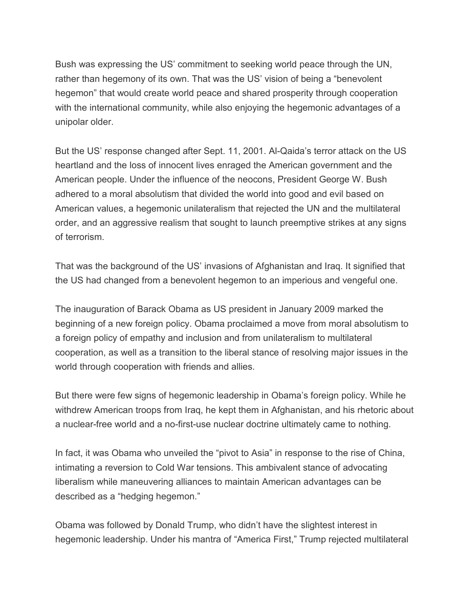Bush was expressing the US' commitment to seeking world peace through the UN, rather than hegemony of its own. That was the US' vision of being a "benevolent hegemon" that would create world peace and shared prosperity through cooperation with the international community, while also enjoying the hegemonic advantages of a unipolar older.

But the US' response changed after Sept. 11, 2001. Al-Qaida's terror attack on the US heartland and the loss of innocent lives enraged the American government and the American people. Under the influence of the neocons, President George W. Bush adhered to a moral absolutism that divided the world into good and evil based on American values, a hegemonic unilateralism that rejected the UN and the multilateral order, and an aggressive realism that sought to launch preemptive strikes at any signs of terrorism.

That was the background of the US' invasions of Afghanistan and Iraq. It signified that the US had changed from a benevolent hegemon to an imperious and vengeful one.

The inauguration of Barack Obama as US president in January 2009 marked the beginning of a new foreign policy. Obama proclaimed a move from moral absolutism to a foreign policy of empathy and inclusion and from unilateralism to multilateral cooperation, as well as a transition to the liberal stance of resolving major issues in the world through cooperation with friends and allies.

But there were few signs of hegemonic leadership in Obama's foreign policy. While he withdrew American troops from Iraq, he kept them in Afghanistan, and his rhetoric about a nuclear-free world and a no-first-use nuclear doctrine ultimately came to nothing.

In fact, it was Obama who unveiled the "pivot to Asia" in response to the rise of China, intimating a reversion to Cold War tensions. This ambivalent stance of advocating liberalism while maneuvering alliances to maintain American advantages can be described as a "hedging hegemon."

Obama was followed by Donald Trump, who didn't have the slightest interest in hegemonic leadership. Under his mantra of "America First," Trump rejected multilateral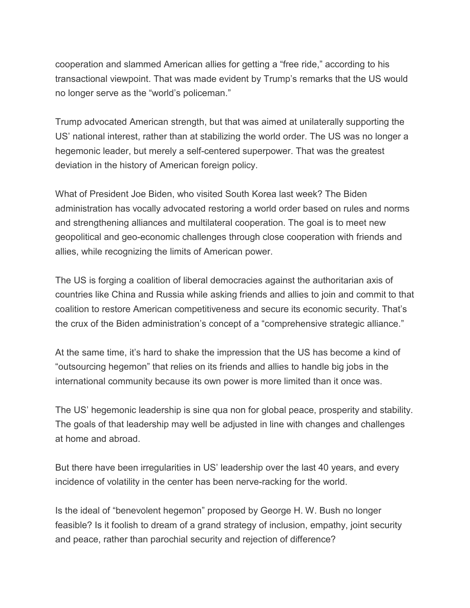cooperation and slammed American allies for getting a "free ride," according to his transactional viewpoint. That was made evident by Trump's remarks that the US would no longer serve as the "world's policeman."

Trump advocated American strength, but that was aimed at unilaterally supporting the US' national interest, rather than at stabilizing the world order. The US was no longer a hegemonic leader, but merely a self-centered superpower. That was the greatest deviation in the history of American foreign policy.

What of President Joe Biden, who visited South Korea last week? The Biden administration has vocally advocated restoring a world order based on rules and norms and strengthening alliances and multilateral cooperation. The goal is to meet new geopolitical and geo-economic challenges through close cooperation with friends and allies, while recognizing the limits of American power.

The US is forging a coalition of liberal democracies against the authoritarian axis of countries like China and Russia while asking friends and allies to join and commit to that coalition to restore American competitiveness and secure its economic security. That's the crux of the Biden administration's concept of a "comprehensive strategic alliance."

At the same time, it's hard to shake the impression that the US has become a kind of "outsourcing hegemon" that relies on its friends and allies to handle big jobs in the international community because its own power is more limited than it once was.

The US' hegemonic leadership is sine qua non for global peace, prosperity and stability. The goals of that leadership may well be adjusted in line with changes and challenges at home and abroad.

But there have been irregularities in US' leadership over the last 40 years, and every incidence of volatility in the center has been nerve-racking for the world.

Is the ideal of "benevolent hegemon" proposed by George H. W. Bush no longer feasible? Is it foolish to dream of a grand strategy of inclusion, empathy, joint security and peace, rather than parochial security and rejection of difference?